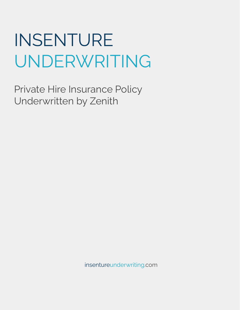Private Hire Insurance Policy Underwritten by Zenith

insentureunderwriting.com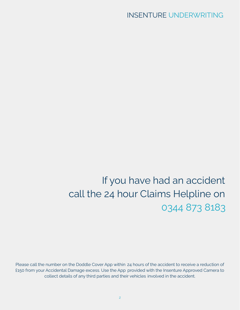# If you have had an accident call the 24 hour Claims Helpline on 0344 873 8183

Please call the number on the Doddle Cover App within 24 hours of the accident to receive a reduction of £150 from your Accidental Damage excess. Use the App provided with the Insenture Approved Camera to collect details of any third parties and their vehicles involved in the accident.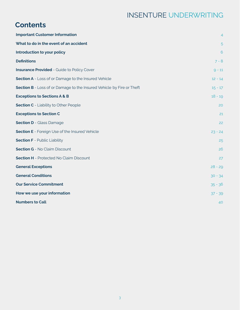# **Contents**

| <b>Important Customer Information</b>                                 | $\overline{4}$ |
|-----------------------------------------------------------------------|----------------|
| What to do in the event of an accident                                | 5              |
| Introduction to your policy                                           | 6              |
| <b>Definitions</b>                                                    | $7 - 8$        |
| <b>Insurance Provided - Guide to Policy Cover</b>                     | $9 - 11$       |
| <b>Section A</b> - Loss of or Damage to the Insured Vehicle           | $12 - 14$      |
| Section B - Loss of or Damage to the Insured Vehicle by Fire or Theft | $15 - 17$      |
| <b>Exceptions to Sections A &amp; B</b>                               | $18 - 19$      |
| <b>Section C</b> - Liability to Other People                          | 20             |
| <b>Exceptions to Section C</b>                                        | 21             |
| <b>Section D</b> - Glass Damage                                       | 22             |
| <b>Section E</b> - Foreign Use of the Insured Vehicle                 | $23 - 24$      |
| <b>Section F</b> - Public Liability                                   | 25             |
| <b>Section G</b> - No Claim Discount                                  | 26             |
| <b>Section H</b> - Protected No Claim Discount                        | 27             |
| <b>General Exceptions</b>                                             | $28 - 29$      |
| <b>General Conditions</b>                                             | $30 - 34$      |
| <b>Our Service Commitment</b>                                         | $35 - 36$      |
| How we use your information                                           | $37 - 39$      |
| <b>Numbers to Call</b>                                                | 40             |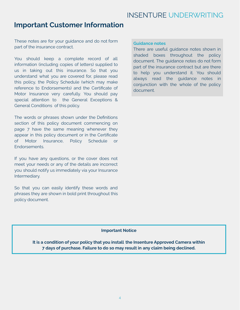### **Important Customer Information**

These notes are for your guidance and do not form part of the insurance contract.

You should keep a complete record of all information (including copies of letters) supplied to us in taking out this insurance. So that you understand what you are covered for, please read this policy, the Policy Schedule (which may make reference to Endorsements) and the Certificate of Motor Insurance very carefully. You should pay special attention to the General Exceptions & General Conditions of this policy.

The words or phrases shown under the Definitions section of this policy document commencing on page 7 have the same meaning whenever they appear in this policy document or in the Certificate of Motor Insurance, Policy Schedule or Endorsements.

If you have any questions, or the cover does not meet your needs or any of the details are incorrect you should notify us immediately via your Insurance Intermediary.

So that you can easily identify these words and phrases they are shown in bold print throughout this policy document.

#### **Guidance notes**

There are useful guidance notes shown in shaded boxes throughout the policy document. The guidance notes do not form part of the insurance contract but are there to help you understand it. You should always read the guidance notes in conjunction with the whole of the policy document.

### **Important Notice**

**It is a condition of your policy that you install the Insenture Approved Camera within 7 days of purchase. Failure to do so may result in any claim being declined.**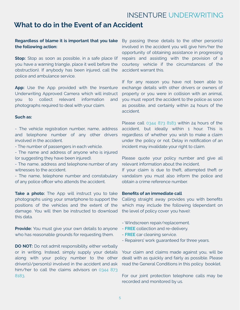### **What to do in the Event of an Accident**

### **Regardless of blame it is important that you take the following action:**

**Stop:** Stop as soon as possible, in a safe place (if you have a warning triangle, place it well before the obstruction). If anybody has been injured, call the police and ambulance service.

**App:** Use the App provided with the Insenture Underwriting Approved Camera which will instruct you to collect relevant information and photographs required to deal with your claim.

#### **Such as:**

- The vehicle registration number, name, address and telephone number of any other drivers involved in the accident.

- The number of passengers in each vehicle.

- The name and address of anyone who is injured (or suggesting they have been injured).

- The name, address and telephone number of any witnesses to the accident.

- The name, telephone number and constabulary of any police officer who attends the accident.

**Take a photo:** The App will instruct you to take photographs using your smartphone to support the positions of the vehicles and the extent of the damage. You will then be instructed to download this data.

**Provide:** You must give your own details to anyone who has reasonable grounds for requesting them.

**DO NOT:** Do not admit responsibility, either verbally or in writing. Instead, simply supply your details along with your policy number to the other driver(s)/person(s) involved in the accident and ask him/her to call the claims advisors on 0344 873 8183.

By passing these details to the other person(s) involved in the accident you will give him/her the opportunity of obtaining assistance in progressing repairs and assisting with the provision of a courtesy vehicle if the circumstances of the accident warrant this.

If for any reason you have not been able to exchange details with other drivers or owners of property or you were in collision with an animal, you must report the accident to the police as soon as possible, and certainly within 24 hours of the accident.

Please call 0344 873 8183 within 24 hours of the accident, but ideally within 1 hour. This is regardless of whether you wish to make a claim under the policy or not. Delay in notification of an incident may invalidate your right to claim.

Please quote your policy number and give all relevant information about the incident.

If your claim is due to theft, attempted theft or vandalism you must also inform the police and obtain a crime reference number.

#### **Benefits of an immediate call**

Calling straight away provides you with benefits which may include the following (dependant on the level of policy cover you have):

- Windscreen repair/replacement.
- **FREE** collection and re-delivery.
- **FREE** car cleaning service.
- Repairers' work guaranteed for three years.

Your claim and claims made against you, will be dealt with as quickly and fairly as possible. Please read the General Conditions in this policy booklet.

For our joint protection telephone calls may be recorded and monitored by us.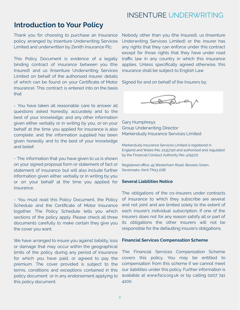### **Introduction to Your Policy**

Thank you for choosing to purchase an Insurance policy arranged by Insenture Underwriting Services Limited and underwritten by Zenith Insurance Plc.

This Policy Document is evidence of a legally binding contract of insurance between you (the Insured) and us (Insenture Underwriting Services Limited on behalf of the authorised insurer, details of which can be found on your Certificate of Motor Insurance). This contract is entered into on the basis that:

- You have taken all reasonable care to answer all questions asked honestly, accurately and to the best of your knowledge; and any other information given either verbally or in writing by you, or on your behalf at the time you applied for insurance is also complete; and the information supplied has been given honestly and to the best of your knowledge and belief.

- The information that you have given to us is shown on your signed proposal form or statement of fact or statement of insurance but will also include further information given either verbally or in writing by you or on your behalf at the time you applied for insurance.

- You must read this Policy Document, the Policy Schedule and the Certificate of Motor Insurance together. The Policy Schedule tells you which sections of the policy apply. Please check all three documents carefully to make certain they give you the cover you want.

We have arranged to insure you against liability, loss or damage that may occur within the geographical limits of the policy during any period of insurance for which you have paid, or agreed to pay the premium. The cover provided is subject to the terms, conditions and exceptions contained in this policy document or in any endorsement applying to this policy document.

Nobody other than you (the Insured), us (Insenture Underwriting Services Limited) or the insurer has any rights that they can enforce under this contract except for those rights that they have under road traffic law in any country in which this insurance applies. Unless specifically agreed otherwise, this insurance shall be subject to English Law.

Signed for and on behalf of the Insurers by:



Gary Humphreys Group Underwriting Director Markerstudy Insurance Services Limited

Markerstudy Insurance Services Limited is registered in England and Wales (No. 2135730) and authorised and regulated by the Financial Conduct Authority (No. 475572)

Registered office: 45 Westerham Road, Bessels Green, Sevenoaks, Kent TN13 2QB

#### **Several Liabilities Notice**

.

The obligations of the co-insurers under contracts of insurance to which they subscribe are several and not joint and are limited solely to the extent of each insurer's individual subscription. If one of the insurers does not for any reason satisfy all or part of its obligations the other insurers will not be responsible for the defaulting insurer's obligations.

#### **Financial Services Compensation Scheme**

The Financial Services Compensation Scheme covers this policy. You may be entitled to compensation from this scheme if we cannot meet our liabilities under this policy. Further information is available at www.fscs.org.uk or by calling 0207 741 4100.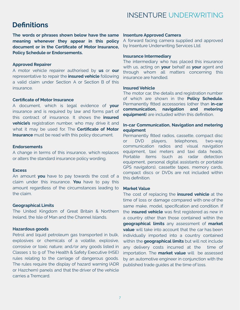### **Definitions**

**The words or phrases shown below have the same meaning whenever they appear in this policy document or in the Certificate of Motor Insurance, Policy Schedule or Endorsements.**

#### **Approved Repairer**

A motor vehicle repairer authorised by **us** or **our** representative to repair the **insured vehicle** following a valid claim under Section A or Section B of this insurance.

#### **Certificate of Motor Insurance**

A document, which is legal evidence of **your** insurance and is required by law and forms part of this contract of insurance. It shows the **insured vehicle's** registration number, who may drive it and what it may be used for. The **Certificate of Motor Insurance** must be read with this policy document.

#### **Endorsements**

A change in terms of this insurance, which replaces or alters the standard insurance policy wording.

#### **Excess**

An amount **you** have to pay towards the cost of a claim under this insurance. **You** have to pay this amount regardless of the circumstances leading to the claim.

#### **Geographical Limits**

The United Kingdom of Great Britain & Northern Ireland, the Isle of Man and the Channel Islands.

#### **Hazardous goods**

Petrol and liquid petroleum gas transported in bulk, explosives or chemicals of a volatile, explosive, corrosive or toxic nature; and/or any goods listed in Classes 1 to 9 of The Health & Safety Executive (HSE) rules relating to the carriage of dangerous goods. The rules require the display of hazard warning (ADR or Hazchem) panels and that the driver of the vehicle carries a Tremcard.

#### **Insenture Approved Camera**

A forward facing camera supplied and approved by Insenture Underwriting Services Ltd.

#### **Insurance Intermediary**

The intermediary who has placed this insurance with us, acting on **your** behalf as **your** agent and through whom all matters concerning this insurance are handled.

#### **Insured Vehicle**

The motor car, the details and registration number of which are shown in the **Policy Schedule.** Permanently fitted accessories (other than **in-car communication, navigation and metering equipment**) are included within this definition.

### **In-car Communication, Navigation and metering equipment**

Permanently fitted radios, cassette, compact disc or DVD players, telephones, two-way communication radios and visual navigation equipment, taxi meters and taxi data heads. Portable items (such as radar detection equipment, personal digital assistants or portable GPS navigators), cassette tapes, memory cards, compact discs or DVDs are not included within this definition.

#### **Market Value**

The cost of replacing the **insured vehicle** at the time of loss or damage compared with one of the same make, model, specification and condition. If the i**nsured vehicle** was first registered as new in a country other than those contained within the **geographical limits** any assessment of **market value** will take into account that the car has been individually imported into a country contained within the **geographical limits** but will not include any delivery costs incurred at the time of importation. The **market value** will be assessed by an automotive engineer in conjunction with the published trade guides at the time of loss.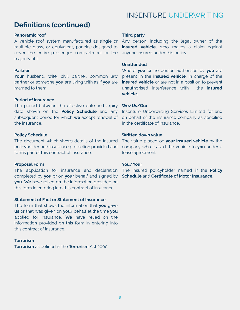# **Definitions (continued)**

#### **Panoramic roof**

A vehicle roof system manufactured as single or multiple glass, or equivalent, panel(s) designed to cover the entire passenger compartment or the majority of it.

### **Partner**

**Your** husband, wife, civil partner, common law partner or someone **you** are living with as if **you** are married to them.

### **Period of Insurance**

The period between the effective date and expiry date shown on the **Policy Schedule** and any subsequent period for which **we** accept renewal of the insurance.

### **Policy Schedule**

The document which shows details of the insured policyholder and insurance protection provided and forms part of this contract of insurance.

### **Proposal Form**

The application for insurance and declaration completed by **you** or on **your** behalf and signed by **you**. **We** have relied on the information provided on this form in entering into this contract of insurance.

### **Statement of Fact or Statement of Insurance**

The form that shows the information that **you** gave **us** or that was given on **your** behalf at the time **you** applied for insurance. **We** have relied on the information provided on this form in entering into this contract of insurance.

### **Terrorism**

**Terrorism** as defined in the **Terrorism** Act 2000.

#### **Third party**

Any person, including the legal owner of the **insured vehicle**, who makes a claim against anyone insured under this policy.

### **Unattended**

Where **you** or no person authorised by **you** are present in the **insured vehicle,** in charge of the **insured vehicle** or are not in a position to prevent unauthorised interference with the **insured vehicle.**

### **We/Us/Our**

Insenture Underwriting Services Limited for and on behalf of the insurance company as specified in the certificate of insurance.

### **Written down value**

The value placed on **your insured vehicle** by the company who leased the vehicle to **you** under a lease agreement.

### **You/Your**

The insured policyholder named in the **Policy Schedule** and **Certificate of Motor Insurance.**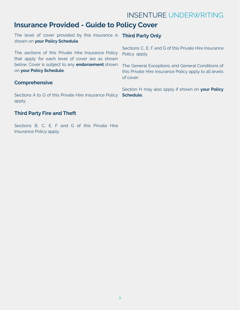### **Insurance Provided - Guide to Policy Cover**

The level of cover provided by this insurance is **Third Party Only** shown on **your Policy Schedule**.

The sections of this Private Hire Insurance Policy that apply for each level of cover are as shown below. Cover is subject to any **endorsement** shown on **your Policy Schedule**.

### **Comprehensive**

Sections A to G of this Private Hire Insurance Policy **Schedule.** apply.

### **Third Party Fire and Theft**

Sections B, C, E, F and G of this Private Hire Insurance Policy apply.

Sections C, E, F and G of this Private Hire Insurance Policy apply.

The General Exceptions and General Conditions of this Private Hire Insurance Policy apply to all levels of cover.

Section H may also apply if shown on **your Policy**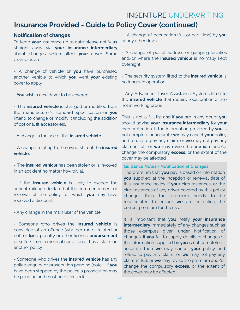### **Insurance Provided - Guide to Policy Cover (continued)**

### **Notification of changes**

To keep **your** insurance up to date please notify **us** straight away via **your insurance intermediary** about changes which affect **your** cover. Some examples are:

- A change of vehicle or **you** have purchased another vehicle to which **you** want **your** existing cover to apply.

- **You** wish a new driver to be covered.

- The **insured vehicle** is changed or modified from the manufacturer's standard specification or **you** intend to change or modify it (including the addition of optional fit accessories).

- A change in the use of the **insured vehicle.**

- A change relating to the ownership of the **insured vehicle.**

- The **insured vehicle** has been stolen or is involved in an accident no matter how trivial.

- If the **insured vehicle** is likely to exceed the annual mileage declared at the commencement or renewal of the policy for which **you** may have received a discount.

- Any change in the main user of the vehicle.

- Someone who drives the **insured vehicle** is convicted of an offence (whether motor related or not) or fixed penalty or other licence **endorsement** or suffers from a medical condition or has a claim on another policy.

- Someone who drives the **insured vehicle** has any police enquiry or prosecution pending (note – if **you** have been stopped by the police a prosecution may be pending and must be disclosed).

- A change of occupation (full or part-time) by **you** or any other driver.

- A change of postal address or garaging facilities and/or where the **insured vehicle** is normally kept overnight.

- The security system fitted to the **insured vehicle** is no longer in operation.

- Any Advanced Driver Assistance Systems fitted to the **insured vehicle** that require recalibration or are not in working order.

This is not a full list and if **you** are in any doubt **you** should advise **your insurance intermediary** for **your** own protection. If the information provided by **you** is not complete or accurate **we** may cancel **your** policy and refuse to pay any claim, or **we** may not pay any claim in full, or **we** may revise the premium and/or change the compulsory **excess**, or the extent of the cover may be affected.

#### **Guidance Notes - Notification of Changes**

The premium that **you** pay is based on information **you** supplied at the inception or renewal date of this insurance policy. If **your** circumstances, or the circumstances of any driver covered by this policy change, then the premium needs to be recalculated to ensure **we** are collecting the correct premium for the risk.

It is important that **you** notify **your insurance intermediary** immediately of any changes such as those examples given under Notification of changes. If **you** fail to supply details of changes or the information supplied by **you** is not complete or accurate then **we** may cancel **your** policy and refuse to pay any claim, or **we** may not pay any claim in full, or **we** may revise the premium and/or change the compulsory **excess**, or the extent of the cover may be affected.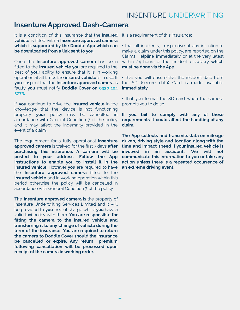### **Insenture Approved Dash-Camera**

It is a condition of this insurance that the **insured vehicle** is fitted with a **Insenture approved camera which is supported by the Doddle App which can be downloaded from a link sent to you.**

Once the **Insenture approved camera** has been fitted to the **insured vehicle you** are required to the best of **your** ability to ensure that it is in working operation at all times the **insured vehicle** is in use. If **you** suspect that the **Insenture approved camera** is faulty **you** must notify **Doddle Cover on 0330 124 5773.**

If **you** continue to drive the **insured vehicle** in the knowledge that the device is not functioning properly **your** policy may be cancelled in accordance with General Condition 7 of the policy and it may affect the indemnity provided in the event of a claim.

The requirement for a fully operational **Insenture approved camera** is waived for the first 7 days **after purchasing this insurance. A camera will be posted to your address. Follow the App instructions to enable you to install it in the insured vehicle**. However **you** are required to have the **Insenture approved camera** fitted to the **insured vehicle** and in working operation within this period otherwise the policy will be cancelled in accordance with General Condition 7 of the policy.

The **Insenture approved camera** is the property of Insenture Underwriting Services Limited and it will be provided to **you** free of charge whilst **you** have a valid taxi policy with them. **You are responsible for fitting the camera to the insured vehicle and transferring it to any change of vehicle during the term of the insurance. You are required to return the camera to Doddle Cover should the insurance be cancelled or expire. Any return premium following cancellation will be processed upon receipt of the camera in working order.**

It is a requirement of this insurance;

• that all incidents, irrespective of any intention to make a claim under this policy, are reported on the Claims Helpline immediately or at the very latest within 24 hours of the incident discovery **which must be done via the App.**

• that you will ensure that the incident data from the SD (secure data) Card is made available **immediately.**

• that you format the SD card when the camera prompts you to do so.

**If you fail to comply with any of these requirements it could affect the handling of any claim.**

**The App collects and transmits data on mileage driven, driving style and location along with the time and impact speed if your insured vehicle is involved in an accident.. We will not communicate this information to you or take any action unless there is a repeated occurrence of an extreme driving event.**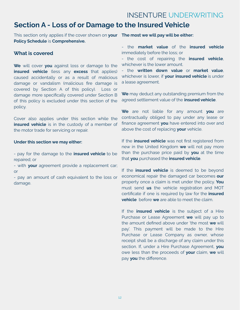### **Section A - Loss of or Damage to the Insured Vehicle**

This section only applies if the cover shown on **your The most we will pay will be either: Policy Schedule** is **Comprehensive.**

### **What is covered**

**We** will cover **you** against loss or damage to the **insured vehicle** (less any **excess** that applies) caused accidentally or as a result of malicious damage or vandalism (malicious fire damage is covered by Section A of this policy). Loss or damage more specifically covered under Section B of this policy is excluded under this section of the policy.

Cover also applies under this section while the **insured vehicle** is in the custody of a member of the motor trade for servicing or repair.

#### **Under this section we may either:**

- pay for the damage to the **insured vehicle** to be repaired; or

- with **your** agreement provide a replacement car; or

- pay an amount of cash equivalent to the loss or damage.

- the **market value** of the **insured vehicle** immediately before the loss; or

- the cost of repairing the **insured vehicle**, whichever is the lower amount.

- the **written down value** or **market value**, whichever is lower, if **your insured vehicle** is under a lease agreement.

**We** may deduct any outstanding premium from the agreed settlement value of the **insured vehicle**.

**We** are not liable for any amount **you** are contractually obliged to pay under any lease or finance agreement **you** have entered into over and above the cost of replacing **your** vehicle.

If the **insured vehicle** was not first registered from new in the United Kingdom **we** will not pay more than the purchase price paid by **you** at the time that **you** purchased the **insured vehicle**.

If the **insured vehicle** is deemed to be beyond economical repair the damaged car becomes **our** property once a claim is met under the policy. **You** must send **us** the vehicle registration and MOT certificate if one is required by law for the **insured vehicle** before **we** are able to meet the claim.

If the **insured vehicle** is the subject of a Hire Purchase or Lease Agreement **we** will pay up to the amount defined above under 'the most **we** will pay'. This payment will be made to the Hire Purchase or Lease Company as owner, whose receipt shall be a discharge of any claim under this section. If, under a Hire Purchase Agreement, **you** owe less than the proceeds of **your** claim, **we** will pay **you** the difference.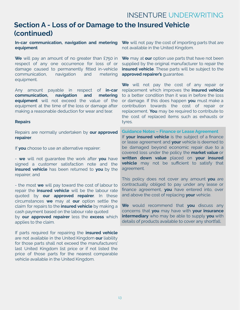### **Section A - Loss of or Damage to the Insured Vehicle (continued)**

#### **In-car communication, navigation and metering equipment**

**We** will pay an amount of no greater than £750 in respect of any one occurrence for loss of or damage caused to permanently fitted in-vehicle communication, navigation and metering equipment.

Any amount payable in respect of **in-car communication, navigation and metering equipment** will not exceed the value of the equipment at the time of the loss or damage after making a reasonable deduction for wear and tear.

#### **Repairs**

Repairs are normally undertaken by **our approved repairer**.

If **you** choose to use an alternative repairer:

- **we** will not guarantee the work after **you** have signed a customer satisfaction note and the **insured vehicle** has been returned to **you** by the repairer; and

- the most **we** will pay toward the cost of labour to repair the **insured vehicle** will be the labour rate quoted by **our approved repairer**. In these circumstances **we** may at **our** option settle the claim for repairs to the **insured vehicle** by making a cash payment based on the labour rate quoted by **our approved repairer** less the **excess** which applies to the claim.

If parts required for repairing the **insured vehicle** are not available in the United Kingdom **our** liability for those parts shall not exceed the manufacturers' last United Kingdom list price or if not listed the price of those parts for the nearest comparable vehicle available in the United Kingdom.

**We** will not pay the cost of importing parts that are not available in the United Kingdom.

**We** may at **our** option use parts that have not been supplied by the original manufacturer to repair the **insured vehicle**. These parts will be subject to the **approved repairer's** guarantee.

**We** will not pay the cost of any repair or replacement which improves the **insured vehicle** to a better condition than it was in before the loss or damage. If this does happen **you** must make a contribution towards the cost of repair or replacement. **You** may be required to contribute to the cost of replaced items such as exhausts or tyres.

**Guidance Notes – Finance or Lease Agreement** If **your insured vehicle** is the subject of a finance or lease agreement and **your** vehicle is deemed to be damaged beyond economic repair due to a covered loss under the policy the **market value** or **written down value** placed on **your insured vehicle** may not be sufficient to satisfy that agreement.

This policy does not cover any amount **you** are contractually obliged to pay under any lease or finance agreement, **you** have entered into, over and above the cost of replacing **your** vehicle.

**We** would recommend that **you** discuss any concerns that **you** may have with **your insurance intermediary** who may be able to supply **you** with details of products available to cover any shortfall.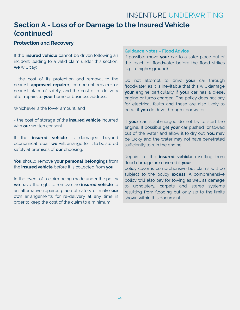### **Section A - Loss of or Damage to the Insured Vehicle (continued)**

### **Protection and Recovery**

If the **insured vehicle** cannot be driven following an incident leading to a valid claim under this section, **we** will pay:

- the cost of its protection and removal to the nearest **approved repairer**, competent repairer or nearest place of safety; and the cost of re-delivery after repairs to **your** home or business address;

Whichever is the lower amount; and

- the cost of storage of the **insured vehicle** incurred with **our** written consent.

If the **insured vehicle** is damaged beyond economical repair **we** will arrange for it to be stored safely at premises of **our** choosing.

**You** should remove **your personal belongings** from the **insured vehicle** before it is collected from **you**.

In the event of a claim being made under the policy **we** have the right to remove the **insured vehicle** to an alternative repairer, place of safety or make **our** own arrangements for re-delivery at any time in order to keep the cost of the claim to a minimum.

#### **Guidance Notes – Flood Advice**

If possible move **your** car to a safer place out of the reach of floodwater before the flood strikes (e.g. to higher ground).

Do not attempt to drive **your** car through floodwater as it is inevitable that this will damage **your** engine particularly if **your** car has a diesel engine or turbo charger. The policy does not pay for electrical faults and these are also likely to occur if **you** do drive through floodwater.

If **your** car is submerged do not try to start the engine. If possible get **your** car pushed or towed out of the water and allow it to dry out. **You** may be lucky and the water may not have penetrated sufficiently to ruin the engine.

### Repairs to the **insured vehicle** resulting from flood damage are covered if **your**

policy cover is comprehensive but claims will be subject to the policy **excess**. A comprehensive policy will also pay for towing as well as damage to upholstery, carpets and stereo systems resulting from flooding but only up to the limits shown within this document.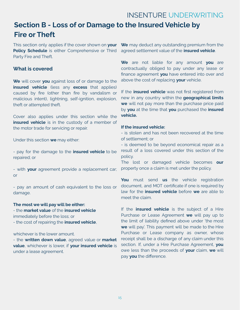# **Section B - Loss of or Damage to the Insured Vehicle by Fire or Theft**

This section only applies if the cover shown on **your Policy Schedule** is either Comprehensive or Third Party Fire and Theft.

### **What is covered**

**We** will cover **you** against loss of or damage to the **insured vehicle** (less any **excess** that applies) caused by fire (other than fire by vandalism or malicious intent), lightning, self-ignition, explosion, theft or attempted theft.

Cover also applies under this section while the **insured vehicle** is in the custody of a member of the motor trade for servicing or repair.

Under this section **we** may either:

- pay for the damage to the **insured vehicle** to be repaired; or

- with **your** agreement provide a replacement car; or

- pay an amount of cash equivalent to the loss or damage.

### **The most we will pay will be either:**

- the **market value** of the **insured vehicle** immediately before the loss; or

- the cost of repairing the **insured vehicle**,

whichever is the lower amount.

- the **written down value**, agreed value or **market value**, whichever is lower, if **your insured vehicle** is under a lease agreement.

**We** may deduct any outstanding premium from the agreed settlement value of the **insured vehicle**.

**We** are not liable for any amount **you** are contractually obliged to pay under any lease or finance agreement **you** have entered into over and above the cost of replacing **your** vehicle.

If the **insured vehicle** was not first registered from new in any country within the **geographical limits we** will not pay more than the purchase price paid by **you** at the time that **you** purchased the **insured vehicle.**

#### **If the insured vehicle:**

- is stolen and has not been recovered at the time of settlement; or

- is deemed to be beyond economical repair as a result of a loss covered under this section of the policy.

The lost or damaged vehicle becomes **our** property once a claim is met under the policy.

**You** must send **us** the vehicle registration document, and MOT certificate if one is required by law for the **insured vehicle** before **we** are able to meet the claim.

If the **insured vehicle** is the subject of a Hire Purchase or Lease Agreement **we** will pay up to the limit of liability defined above under 'the most **we** will pay'. This payment will be made to the Hire Purchase or Lease company as owner, whose receipt shall be a discharge of any claim under this section. If, under a Hire Purchase Agreement, **you** owe less than the proceeds of **your** claim, **we** will pay **you** the difference.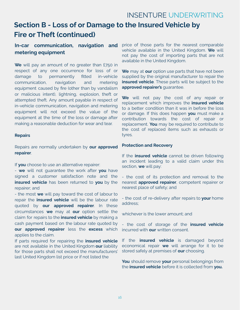# **Section B - Loss of or Damage to the Insured Vehicle by Fire or Theft (continued)**

### **In-car communication, navigation and metering equipment**

**We** will pay an amount of no greater than £750 in respect of any one occurrence for loss of or damage to permanently fitted in-vehicle communication, navigation and metering equipment caused by fire (other than by vandalism or malicious intent), lightning, explosion, theft or attempted theft. Any amount payable in respect of in-vehicle communication, navigation and metering equipment will not exceed the value of the equipment at the time of the loss or damage after making a reasonable deduction for wear and tear.

#### **Repairs**

Repairs are normally undertaken by **our approved repairer**.

If **you** choose to use an alternative repairer:

- **we** will not guarantee the work after **you** have signed a customer satisfaction note and the **insured vehicle** has been returned to **you** by the repairer; and

- the most **we** will pay toward the cost of labour to repair the **insured vehicle** will be the labour rate quoted by **our approved repairer**. In these circumstances **we** may at **our** option settle the claim for repairs to the **insured vehicle** by making a cash payment based on the labour rate quoted by **our approved repairer** less the **excess** which applies to the claim.

If parts required for repairing the **insured vehicle** are not available in the United Kingdom **our** liability for those parts shall not exceed the manufacturers' last United Kingdom list price or if not listed the

price of those parts for the nearest comparable vehicle available in the United Kingdom. **We** will not pay the cost of importing parts that are not available in the United Kingdom.

**We** may at **our** option use parts that have not been supplied by the original manufacturer to repair the **insured vehicle**. These parts will be subject to the **approved repairer's** guarantee.

**We** will not pay the cost of any repair or replacement which improves the **insured vehicle** to a better condition than it was in before the loss or damage. If this does happen **you** must make a contribution towards the cost of repair or replacement. **You** may be required to contribute to the cost of replaced items such as exhausts or tyres.

#### **Protection and Recovery**

If the **insured vehicle** cannot be driven following an incident leading to a valid claim under this section, **we** will pay:

- the cost of its protection and removal to the nearest **approved repairer**, competent repairer or nearest place of safety; and

- the cost of re-delivery after repairs to **your** home address;

whichever is the lower amount; and

- the cost of storage of the **insured vehicle** incurred with **our** written consent.

If the **insured vehicle** is damaged beyond economical repair **we** will arrange for it to be stored safely at premises of **our** choosing.

**You** should remove **your** personal belongings from the **insured vehicle** before it is collected from **you.**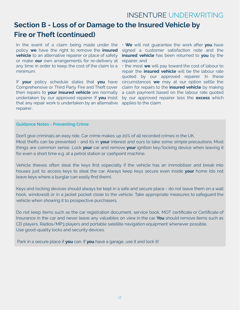# **Section B - Loss of or Damage to the Insured Vehicle by Fire or Theft (continued)**

In the event of a claim being made under the policy **we** have the right to remove the **insured vehicle** to an alternative repairer or place of safety or make **our** own arrangements for re-delivery at any time in order to keep the cost of the claim to a minimum.

If **your** policy schedule states that **you** have Comprehensive or Third Party Fire and Theft cover then repairs to **your insured vehicle** are normally undertaken by our approved repairer. If **you** insist that any repair work is undertaken by an alternative repairer;

• **We** will not guarantee the work after **you** have signed a customer satisfaction note and the **insured vehicle** has been returned to **you** by the repairer; and

• the most **we** will pay toward the cost of labour to repair the **insured vehicle** will be the labour rate quoted by our approved repairer. In these circumstances **we** may at our option settle the claim for repairs to the **insured vehicle** by making a cash payment based on the labour rate quoted by our approved repairer less the **excess** which applies to the claim.

#### **Guidance Notes - Preventing Crime**

Don't give criminals an easy ride. Car crime makes up 20% of all recorded crimes in the UK. Most thefts can be prevented - and it's in **your** interest and ours to take some simple precautions. Most things are common sense. Lock **your** car and remove **your** ignition key/locking device when leaving it for even a short time e.g. at a petrol station or cashpoint machine.

Vehicle thieves often steal the keys first especially if the vehicle has an immobiliser and break into houses just to access keys to steal the car. Always keep keys secure even inside **your** home (do not leave keys where a burglar can easily find them).

Keys and locking devices should always be kept in a safe and secure place - do not leave them on a wall hook, windowsill or in a jacket pocket close to the vehicle. Take appropriate measures to safeguard the vehicle when showing it to prospective purchasers.

Do not keep items such as the car registration document, service book, MOT certificate or Certificate of Insurance in the car and never leave any valuables on view in the car. **You** should remove items such as CD players, Radios/MP3 players and portable satellite navigation equipment whenever possible. Use good-quality locks and security devices.

Park in a secure place if **you** can. If **you** have a garage, use it and lock it!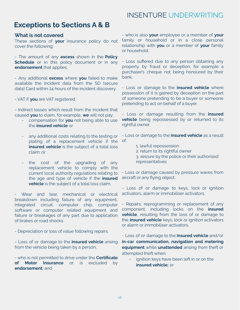### **Exceptions to Sections A & B**

### **What is not covered**

These sections of **your** insurance policy do not cover the following:

- The amount of any **excess** shown in the **Policy Schedule** or in this policy document or in any **endorsement** that applies.

- Any additional **excess** where **you** failed to make available the incident data from the SD (secure data) Card within 24 hours of the incident discovery.

- VAT if **you** are VAT registered.

- Indirect losses which result from the incident that caused **you** to claim, for example, **we** will not pay;

- compensation for **you** not being able to use the **insured vehicle** or
- any additional costs relating to the testing or plating of a replacement vehicle if the **insured vehicle** is the subject of a total loss claim: or
- the cost of the upgrading of any replacement vehicle to comply with the current local authority regulations relating to the age and type of vehicle if the **insured vehicle** is the subject of a total loss claim.

Wear and tear, mechanical or electrical breakdown including failure of any equipment, integrated circuit, computer chip, computer software or computer related equipment and failure or breakages of any part due to application of brakes or road shocks.

- Depreciation or loss of value following repairs.

- Loss of or damage to the **insured vehicle** arising from the vehicle being taken by a person;

- who is not permitted to drive under the **Certificate of Motor Insurance** or is excluded by **endorsement**; and

- who is also **your** employee or a member of **your** family or household or in a close personal relationship with **you** or a member of **your** family or household.

- Loss suffered due to any person obtaining any property by fraud or deception, for example a purchaser's cheque not being honoured by their bank.

- Loss or damage to the **insured vehicle** where possession of it is gained by deception on the part of someone pretending to be a buyer or someone pretending to act on behalf of a buyer.

- Loss or damage resulting from the **insured vehicle** being repossessed by or returned to its rightful owner.

- Loss or damage to the **insured vehicle** as a result of:

- 1. lawful repossession
- 2. return to its rightful owner
- 3. seizure by the police or their authorised representatives

- Loss or damage caused by pressure waves from aircraft or any flying object.

- Loss of or damage to keys, lock or ignition activators, alarm or immobiliser activators.

- Repairs, reprogramming or replacement of any component, including locks on the **insured vehicle**, resulting from the loss of or damage to the **insured vehicle** keys, lock or ignition activators or alarm or immobiliser activators.

- Loss of or damage to the **insured vehicle** and/or **in-car communication, navigation and metering equipment** while **unattended** arising from theft or attempted theft when:

ignition keys have been left in or on the **insured vehicle;** or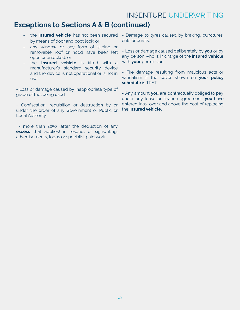### **Exceptions to Sections A & B (continued)**

- the i**nsured vehicle** has not been secured by means of door and boot lock; or
- any window or any form of sliding or removable roof or hood have been left open or unlocked; or
- the **insured vehicle** is fitted with a manufacturer's standard security device and the device is not operational or is not in use.

- Loss or damage caused by inappropriate type of grade of fuel being used.

- Confiscation, requisition or destruction by or under the order of any Government or Public or Local Authority.

- more than £250 (after the deduction of any **excess** that applies) in respect of signwriting, advertisements, logos or specialist paintwork.

- Damage to tyres caused by braking, punctures, cuts or bursts.
- Loss or damage caused deliberately by **you** or by any person who is in charge of the **insured vehicle** with **your** permission.

- Fire damage resulting from malicious acts or vandalism if the cover shown on **your policy schedule** is TPFT.

- Any amount **you** are contractually obliged to pay under any lease or finance agreement, **you** have entered into, over and above the cost of replacing the **insured vehicle.**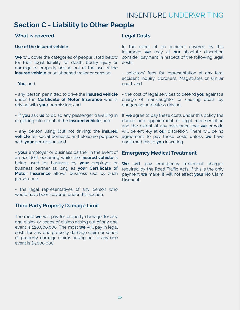### **Section C - Liability to Other People**

### **What is covered**

### **Use of the insured vehicle**

**We** will cover the categories of people listed below for their legal liability for death, bodily injury or damage to property arising out of the use of the **insured vehicle** or an attached trailer or caravan;

### - **You**; and

- any person permitted to drive the **insured vehicle** under the **Certificate of Motor Insurance** who is driving with **your** permission; and

- If **you** ask **us** to do so any passenger travelling in or getting into or out of the **insured vehicle**; and

- any person using (but not driving) the **insured vehicle** for social domestic and pleasure purposes with **your** permission; and

- **your** employer or business partner in the event of an accident occurring while the **insured vehicle** is being used for business by **your** employer or business partner as long as **your Certificate of Motor Insurance** allows business use by such person; and

- the legal representatives of any person who would have been covered under this section.

### **Third Party Property Damage Limit**

The most **we** will pay for property damage for any one claim, or series of claims arising out of any one event is £20,000,000. The most **we** will pay in legal costs for any one property damage claim or series of property damage claims arising out of any one event is £5,000,000.

### **Legal Costs**

In the event of an accident covered by this insurance **we** may at **our** absolute discretion consider payment in respect of the following legal costs;

- solicitors' fees for representation at any fatal accident inquiry, Coroner's, Magistrates or similar court; and

- the cost of legal services to defend **you** against a charge of manslaughter or causing death by dangerous or reckless driving.

If **we** agree to pay these costs under this policy the choice and appointment of legal representation and the extent of any assistance that **we** provide will be entirely at **our** discretion. There will be no agreement to pay these costs unless **we** have confirmed this to **you** in writing.

### **Emergency Medical Treatment**

**We** will pay emergency treatment charges required by the Road Traffic Acts. If this is the only payment **we** make, it will not affect **your** No Claim Discount.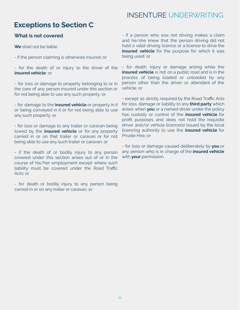# **Exceptions to Section C**

### **What is not covered**

**We** shall not be liable:

- if the person claiming is otherwise insured; or

- for the death of or injury to the driver of the **insured vehicle**; or

- for loss or damage to property belonging to or in the care of any person insured under this section or for not being able to use any such property; or

- for damage to the **insured vehicle** or property in it or being conveyed in it or for not being able to use any such property; or

- for loss or damage to any trailer or caravan being towed by the **insured vehicle** or for any property carried in or on that trailer or caravan or for not being able to use any such trailer or caravan; or

- if the death of or bodily injury to any person covered under this section arises out of or in the course of his/her employment except where such liability must be covered under the Road Traffic Acts; or

- for death or bodily injury to any person being carried in or on any trailer or caravan; or

- if a person who was not driving makes a claim and he/she knew that the person driving did not hold a valid driving licence or a licence to drive the **insured vehicle** for the purpose for which it was being used; or

- for death, injury or damage arising while the **insured vehicle** is not on a public road and is in the process of being loaded or unloaded by any person other than the driver or attendant of the vehicle; or

- except as strictly required by the Road Traffic Acts for loss, damage or liability to any **third party** which arises when **you** or a named driver under the policy has custody or control of the **insured vehicle** for profit purposes and does not hold the requisite driver and/or vehicle licence(s) issued by the local licencing authority to use the **insured vehicle** for Private Hire; or

- for loss or damage caused deliberately by **you** or any person who is in charge of the **insured vehicle** with **your** permission.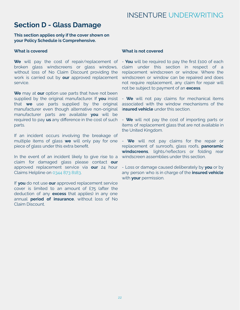### **Section D - Glass Damage**

**This section applies only if the cover shown on your Policy Schedule is Comprehensive.**

#### **What is covered**

**We** will pay the cost of repair/replacement of broken glass windscreens or glass windows, without loss of No Claim Discount providing the work is carried out by **our** approved replacement service.

**We** may at **our** option use parts that have not been supplied by the original manufacturer. If **you** insist that **we** use parts supplied by the original manufacturer even though alternative non-original manufacturer parts are available **you** will be required to pay **us** any difference in the cost of such parts.

If an incident occurs involving the breakage of multiple items of glass **we** will only pay for one piece of glass under this extra benefit.

In the event of an incident likely to give rise to a claim for damaged glass please contact **our** approved replacement service via **our** 24 hour Claims Helpline on 0344 873 8183.

If **you** do not use **our** approved replacement service cover is limited to an amount of £75 (after the deduction of any **excess** that applies) in any one annual **period of insurance**, without loss of No Claim Discount.

#### **What is not covered**

- **You** will be required to pay the first £100 of each claim under this section in respect of a replacement windscreen or window. Where the windscreen or window can be repaired and does not require replacement, any claim for repair will not be subject to payment of an **excess**.

- **We** will not pay claims for mechanical items associated with the window mechanisms of the i**nsured vehicle** under this section.

- **We** will not pay the cost of importing parts or items of replacement glass that are not available in the United Kingdom.

- **We** will not pay claims for the repair or replacement of sunroofs, glass roofs, **panoramic windscreens**, lights/reflectors or folding rear windscreen assemblies under this section.

- Loss or damage caused deliberately by **you** or by any person who is in charge of the **insured vehicle** with **your** permission.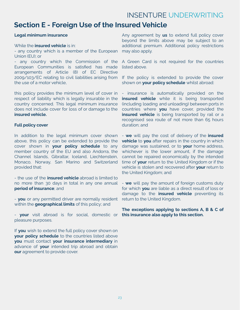### **Section E - Foreign Use of the Insured Vehicle**

#### **Legal minimum insurance**

#### While the **insured vehicle** is in:

- any country which is a member of the European Union (EU); or

- any country which the Commission of the European Communities is satisfied has made arrangements of Article (8) of EC Directive 2009/103/EC relating to civil liabilities arising from the use of a motor vehicle,

this policy provides the minimum level of cover in respect of liability which is legally insurable in the country concerned. This legal minimum insurance does not include cover for loss of or damage to the **insured vehicle.**

#### **Full policy cover**

In addition to the legal minimum cover shown above, this policy can be extended to provide the cover shown in **your policy schedule** to any member country of the EU and also Andorra, the Channel Islands, Gibraltar, Iceland, Liechtenstein, Monaco, Norway, San Marino and Switzerland provided that:

- the use of the **insured vehicle** abroad is limited to no more than 30 days in total in any one annual **period of insurance**; and

- **you** or any permitted driver are normally resident within the **geographical limits** of this policy; and

- **your** visit abroad is for social, domestic or **this insurance also apply to this section.** pleasure purposes.

If **you** wish to extend the full policy cover shown on **your policy schedule** to the countries listed above **you** must contact **your insurance intermediary** in advance of **your** intended trip abroad and obtain **our** agreement to provide cover.

Any agreement by **us** to extend full policy cover beyond the limits above may be subject to an additional premium. Additional policy restrictions may also apply.

A Green Card is not required for the countries listed above.

If the policy is extended to provide the cover shown on **your policy schedule** whilst abroad:

- insurance is automatically provided on the **insured vehicle** while it is being transported (including loading and unloading) between ports in countries where **you** have cover, provided the **insured vehicle** is being transported by rail or a recognised sea route of not more than 65 hours duration; and

- **we** will pay the cost of delivery of the **insured vehicle** to **you** after repairs in the country in which damage was sustained, or to **your** home address, whichever is the lower amount, if the damage cannot be repaired economically by the intended time of **your** return to the United Kingdom or if the vehicle is stolen and recovered after **your** return to the United Kingdom; and

- **we** will pay the amount of foreign customs duty for which **you** are liable as a direct result of loss or damage to the **insured vehicle** preventing its return to the United Kingdom.

**The exceptions applying to sections A, B & C of**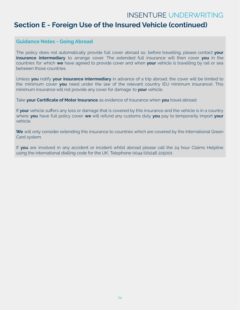### **Section E - Foreign Use of the Insured Vehicle (continued)**

### **Guidance Notes - Going Abroad**

The policy does not automatically provide full cover abroad so, before travelling, please contact **your insurance intermediary** to arrange cover. The extended full insurance will then cover **you** in the countries for which **we** have agreed to provide cover and when **your** vehicle is travelling by rail or sea between those countries.

Unless **you** notify **your insurance intermediary** in advance of a trip abroad, the cover will be limited to the minimum cover **you** need under the law of the relevant country (EU minimum insurance). This minimum insurance will not provide any cover for damage to **your** vehicle.

Take **your Certificate of Motor Insurance** as evidence of insurance when **you** travel abroad.

If **your** vehicle suffers any loss or damage that is covered by this insurance and the vehicle is in a country where **you** have full policy cover, **we** will refund any customs duty **you** pay to temporarily import **your** vehicle.

We will only consider extending this insurance to countries which are covered by the International Green Card system.

If **you** are involved in any accident or incident whilst abroad please call the 24 hour Claims Helpline using the international dialling code for the UK: Telephone 0044 (0)1246 225001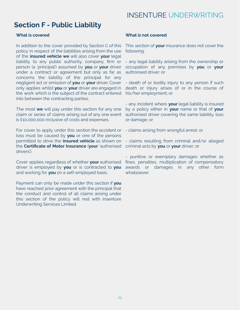### **Section F - Public Liability**

### **What is covered**

In addition to the cover provided by Section C of this policy in respect of the liabilities arising from the use of the **insured vehicle we** will also cover **your** legal liability to any public authority, company, firm or person (a 'principal') assumed by **you** or **your** driver under a contract or agreement but only as far as concerns the liability of the principal for any negligent act or omission of **you** or **your** driver. Cover only applies whilst **you** or **your** driver are engaged in the work which is the subject of the contract entered into between the contracting parties.

The most **we** will pay under this section for any one claim or series of claims arising out of any one event is £10,000,000 inclusive of costs and expenses.

For cover to apply under this section the accident or loss must be caused by **you** or one of the persons permitted to drive the **insured vehicle** as shown on the **Certificate of Motor Insurance** (**your** 'authorised drivers').

Cover applies regardless of whether **your** authorised driver is employed by **you** or is contracted to **you** and working for **you** on a self-employed basis.

Payment can only be made under this section if **you** have reached prior agreement with the principal that the conduct and control of all claims arising under this section of the policy will rest with Insenture Underwriting Services Limited.

### **What is not covered**

This section of **your** insurance does not cover the following:

- any legal liability arising from the ownership or occupation of any premises by **you** or **your** authorised driver; or

- death of or bodily injury to any person if such death or injury arises of or in the course of his/her employment; or

- any incident where **your** legal liability is insured by a policy either in **your** name or that of **your** authorised driver covering the same liability, loss or damage; or

- claims arising from wrongful arrest; or

- claims resulting from criminal and/or alleged criminal acts by **you** or **your** driver; or

- punitive or exemplary damages whether as fines, penalties, multiplication of compensatory awards or damages in any other form whatsoever.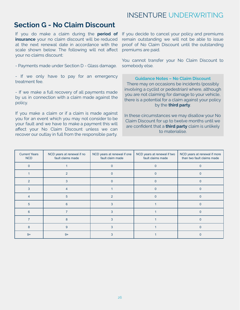### **Section G - No Claim Discount**

If you do make a claim during the **period of insurance** your no claim discount will be reduced at the next renewal date in accordance with the scale shown below. The following will not affect your no claims discount:

- Payments made under Section D - Glass damage.

- If we only have to pay for an emergency treatment fee.

- If we make a full recovery of all payments made by us in connection with a claim made against the policy.

If you make a claim or if a claim is made against you for an event which you may not consider to be your fault and we have to make a payment this will affect your No Claim Discount unless we can recover our outlay in full from the responsible party.

If you decide to cancel your policy and premiums remain outstanding we will not be able to issue proof of No Claim Discount until the outstanding premiums are paid.

You cannot transfer your No Claim Discount to somebody else.

#### **Guidance Notes – No Claim Discount**

There may on occasions be incidents (possibly involving a cyclist or pedestrian) where, although you are not claiming for damage to your vehicle, there is a potential for a claim against your policy by the **third party**.

In these circumstances we may disallow your No Claim Discount for up to twelve months until we are confident that a **third party** claim is unlikely to materialise.

| <b>Current Years</b><br><b>NCD</b> | NCD years at renewal if no<br>fault claims made | NCD years at renewal if one<br>fault claim made | NCD years at renewal if two<br>fault claims made | NCD years at renewal if more<br>than two fault claims made |  |
|------------------------------------|-------------------------------------------------|-------------------------------------------------|--------------------------------------------------|------------------------------------------------------------|--|
| $\Omega$                           |                                                 |                                                 |                                                  |                                                            |  |
|                                    | 2                                               |                                                 |                                                  |                                                            |  |
| $\mathfrak{p}$                     | 3                                               | $\Omega$                                        |                                                  |                                                            |  |
| 3                                  |                                                 |                                                 |                                                  |                                                            |  |
| 4                                  | 5                                               | $\mathfrak{p}$                                  |                                                  |                                                            |  |
| 5                                  | 6                                               | 3                                               |                                                  |                                                            |  |
| 6                                  |                                                 | 3                                               |                                                  |                                                            |  |
|                                    | 8                                               | 3                                               |                                                  |                                                            |  |
| 8                                  | 9                                               | 3                                               |                                                  |                                                            |  |
| $9+$                               | $9+$                                            |                                                 |                                                  |                                                            |  |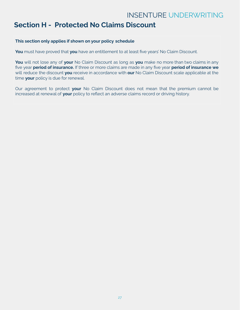### **Section H - Protected No Claims Discount**

### **This section only applies if shown on your policy schedule**

**You** must have proved that **you** have an entitlement to at least five years' No Claim Discount.

**You** will not lose any of **your** No Claim Discount as long as **you** make no more than two claims in any five year **period of insurance.** If three or more claims are made in any five year **period of insurance we** will reduce the discount **you** receive in accordance with **our** No Claim Discount scale applicable at the time **your** policy is due for renewal.

Our agreement to protect **your** No Claim Discount does not mean that the premium cannot be increased at renewal of **your** policy to reflect an adverse claims record or driving history.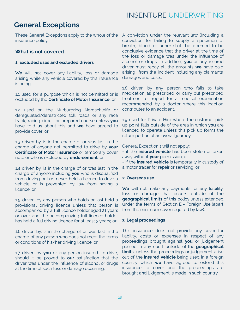### **General Exceptions**

These General Exceptions apply to the whole of the A conviction under the relevant law (including a insurance policy.

### **What is not covered**

### **1. Excluded uses and excluded drivers**

**We** will not cover any liability, loss or damage arising while any vehicle covered by this insurance is being:

1.1 used for a purpose which is not permitted or is excluded by the **Certificate of Motor Insurance**; or

1.2 used on the Nurburgring Nordschleife or deregulated/derestricted toll roads or any race track, racing circuit or prepared course unless **you** have told **us** about this and **we** have agreed to provide cover; or

1.3 driven by, is in the charge of or was last in the charge of anyone not permitted to drive by **your Certificate of Motor Insurance** or temporary cover note or who is excluded by **endorsement**; or

1.4 driven by, is in the charge of or was last in the charge of anyone including **you** who is disqualified from driving or has never held a licence to drive a vehicle or is prevented by law from having a licence; or

1.5 driven by any person who holds or last held a provisional driving licence unless that person is accompanied by a full licence holder aged 21 years or over and the accompanying full licence holder has held a full driving licence for at least 3 years; or

1.6 driven by, is in the charge of or was last in the charge of any person who does not meet the terms or conditions of his/her driving licence; or

1.7 driven by **you** or any person insured to drive, should it be proved to **our** satisfaction that the driver was under the influence of alcohol or drugs at the time of such loss or damage occurring.

conviction for failing to supply a specimen of breath, blood or urine) shall be deemed to be conclusive evidence that the driver at the time of the loss or damage was under the influence of alcohol or drugs. In addition, **you** or any insured driver must repay all the amounts **we** have paid arising from the incident including any claimants' damages and costs.

1.8 driven by any person who fails to take medication as prescribed or carry out prescribed treatment or report for a medical examination recommended by a doctor where this inaction contributes to an accident.

1.9 used for Private Hire where the customer pick up point falls outside of the area in which **you** are licenced to operate unless this pick up forms the return portion of an overall journey.

General Exception 1 will not apply:

- if the **insured vehicle** has been stolen or taken away without **your** permission; or
- if the **insured vehicle** is temporarily in custody of a motor trader for repair or servicing; or

#### **2. Overseas use**

**We** will not make any payments for any liability, loss or damage that occurs outside of the **geographical limits** of this policy unless extended under the terms of Section E - Foreign Use (apart from the minimum cover required by law).

#### **3. Legal proceedings**

This insurance does not provide any cover for liability, costs or expenses in respect of any proceedings brought against **you** or judgement passed in any court outside of the **geographical limits**, unless the proceedings or judgement arise out of the **insured vehicle** being used in a foreign country which **we** have agreed to extend this insurance to cover and the proceedings are brought and judgement is made in such country.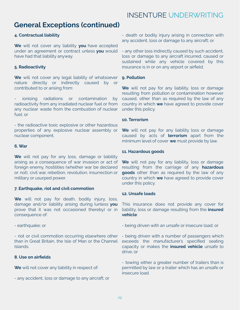### **General Exceptions (continued)**

### **4. Contractual liability**

**We** will not cover any liability **you** have accepted under an agreement or contract unless **you** would have had that liability anyway.

### **5. Radioactivity**

**We** will not cover any legal liability of whatsoever nature directly or indirectly caused by or contributed to or arising from:

ionising radiations or contamination by radioactivity from any irradiated nuclear fuel or from any nuclear waste from the combustion of nuclear fuel; or

- the radioactive toxic explosive or other hazardous properties of any explosive nuclear assembly or nuclear component.

#### **6. War**

**We** will not pay for any loss, damage or liability arising as a consequence of war invasion or act of foreign enemy, hostilities (whether war be declared or not), civil war, rebellion, revolution, insurrection or military or usurped power.

### **7. Earthquake, riot and civil commotion**

**We** will not pay for death, bodily injury, loss, damage and/or liability arising during (unless **you** prove that it was not occasioned thereby) or in consequence of:

- earthquake; or

- riot or civil commotion occurring elsewhere other than in Great Britain, the Isle of Man or the Channel Islands.

### **8. Use on airfields**

**We** will not cover any liability in respect of:

- any accident, loss or damage to any aircraft; or

- death or bodily injury arising in connection with any accident, loss or damage to any aircraft; or

- any other loss indirectly caused by such accident, loss or damage to any aircraft incurred, caused or sustained while any vehicle covered by this insurance is in or on any airport or airfield.

### **9. Pollution**

**We** will not pay for any liability, loss or damage resulting from pollution or contamination however caused, other than as required by the law of any country in which **we** have agreed to provide cover under this policy.

### **10. Terrorism**

**We** will not pay for any liability loss or damage caused by acts of **terrorism** apart from the minimum level of cover **we** must provide by law.

#### **11. Hazardous goods**

**We** will not pay for any liability, loss or damage resulting from the carriage of any **hazardous goods** other than as required by the law of any country in which **we** have agreed to provide cover under this policy.

### **12. Unsafe loads**

This insurance does not provide any cover for liability, loss or damage resulting from the **insured vehicle**:

- being driven with an unsafe or insecure load; or

- being driven with a number of passengers which exceeds the manufacturer's specified seating capacity or makes the **insured vehicle** unsafe to drive; or

- towing either a greater number of trailers than is permitted by law or a trailer which has an unsafe or insecure load.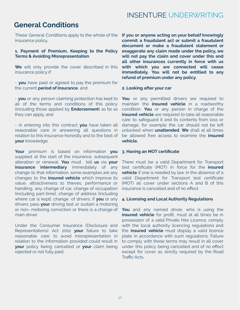### **General Conditions**

These General Conditions apply to the whole of the insurance policy.

#### **1. Payment of Premium, Keeping to the Policy Terms & Avoiding Misrepresentation**

**We** will only provide the cover described in this insurance policy if:

- **you** have paid or agreed to pay the premium for the current **period of insurance**, and

- **you** or any person claiming protection has kept to all of the terms and conditions of this policy (including those applied by **Endorsement**) as far as they can apply, and

- in entering into this contract **you** have taken all reasonable care in answering all questions in relation to this insurance honestly and to the best of **your** knowledge.

**Your** premium is based on information **you** supplied at the start of the insurance, subsequent alteration or renewal. **You** must tell **us** via **your insurance intermediary** immediately of any change to that information, some examples are any changes to the **insured vehicle** which improve its value, attractiveness to thieves, performance or handling, any change of car, change of occupation (including part-time), change of address (including where car is kept), change of drivers, if **you** or any drivers pass **your** driving test or sustain a motoring or non- motoring conviction or there is a change of main driver.

Under the Consumer Insurance (Disclosure and Representations) Act 2012 **your** failure to take reasonable care to avoid misrepresentation in relation to the information provided could result in **your** policy being cancelled or **your** claim being rejected or not fully paid.

**If you or anyone acting on your behalf knowingly commit a fraudulent act or submit a fraudulent document or make a fraudulent statement or exaggerate any claim made under the policy, we will not pay the claim and cover under this and all other insurances currently in force with us with which you are connected will cease immediately. You will not be entitled to any refund of premium under any policy.**

#### **2. Looking after your car**

**You** or any permitted drivers are required to maintain the **insured vehicle** in a roadworthy condition. **You** or any person in charge of the **insured vehicle** are required to take all reasonable care to safeguard it and its contents from loss or damage, for example the car should not be left unlocked when **unattended**. **We** shall at all times be allowed free access to examine the **insured vehicle.**

#### **3. Having an MOT certificate**

There must be a valid Department for Transport test certificate (MOT) in force for the **insured vehicle** if one is needed by law. In the absence of a valid Department for Transport test certificate (MOT) all cover under sections A and B of this insurance is cancelled and of no effect.

#### **4. Licensing and Local Authority Regulations**

**You** and any named driver, who is using the **insured vehicle** for profit, must at all times be in possession of a valid Private Hire Licence, comply with the local authority licencing regulations and the **insured vehicle** must display a valid licence plate in accordance with such regulations. Failure to comply with these terms may result in all cover under this policy being cancelled and of no effect except for cover as strictly required by the Road Traffic Acts.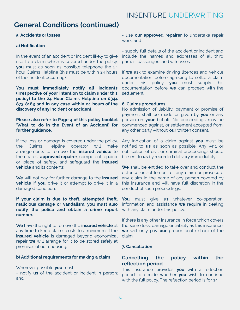### **General Conditions (continued)**

### **5. Accidents or losses**

### **a) Notification**

In the event of an accident or incident likely to give rise to a claim which is covered under the policy, **you** must as soon as possible telephone the 24 hour Claims Helpline (this must be within 24 hours of the incident occurring).

**You must immediately notify all incidents (irrespective of your intention to claim under this policy) to the 24 Hour Claims Helpline on 0344 873 8183 and in any case within 24 hours of the discovery of any incident or accident.**

**Please also refer to Page 4 of this policy booklet 'What to do in the Event of an Accident' for further guidance.**

If the loss or damage is covered under the policy, the Claims Helpline operator will make arrangements to remove the **insured vehicle** to the nearest **approved repairer**, competent repairer or place of safety, and safeguard the **insured vehicle** and its contents.

**We** will not pay for further damage to the **insured vehicle** if **you** drive it or attempt to drive it in a damaged condition.

### **If your claim is due to theft, attempted theft, malicious damage or vandalism, you must also notify the police and obtain a crime report number.**

**We** have the right to remove the **insured vehicle** at any time to keep claims costs to a minimum. If the **insured vehicle** is damaged beyond economical repair **we** will arrange for it to be stored safely at premises of our choosing.

#### **b) Additional requirements for making a claim**

Wherever possible **you** must:

- notify **us** of the accident or incident in person; and

- use **our approved repairer** to undertake repair work; and

- supply full details of the accident or incident and include the names and addresses of all third parties, passengers and witnesses.

If **we** ask to examine driving licences and vehicle documentation before agreeing to settle a claim under this policy **you** must supply this documentation before **we** can proceed with the settlement.

#### **6. Claims procedures**

No admission of liability, payment or promise of payment shall be made or given by **you** or any person on **your** behalf. No proceedings may be commenced against, or settlement accepted from, any other party without **our** written consent.

Any indication of a claim against **you** must be notified to **us** as soon as possible. Any writ, or notification of civil or criminal proceedings should be sent to **us** by recorded delivery immediately

**We** shall be entitled to take over and conduct the defence or settlement of any claim or prosecute any claim in the name of any person covered by this insurance and will have full discretion in the conduct of such proceedings.

**You** must give **us** whatever co-operation, information and assistance **we** require in dealing with any claim under this policy.

If there is any other insurance in force which covers the same loss, damage or liability as this insurance, **we** will only pay **our** proportionate share of the claim.

### **7. Cancellation**

### **Cancelling the policy within the reflection period**

This insurance provides **you** with a reflection period to decide whether **you** wish to continue with the full policy. The reflection period is for 14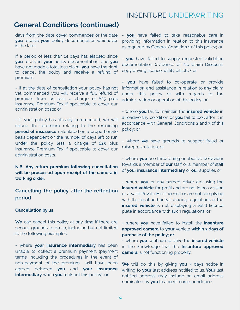### **General Conditions (continued)**

days from the date cover commences or the date **you** receive **your** policy documentation whichever is the later.

If a period of less than 14 days has elapsed since **you** received **your** policy documentation, and **you** have not made a total loss claim, **you** have the right to cancel the policy and receive a refund of premium:

- If at the date of cancellation your policy has not yet commenced you will receive a full refund of premium from us less a charge of £25 plus Insurance Premium Tax if applicable to cover our administration costs; or

- If your policy has already commenced, we will refund the premium relating to the remaining **period of insurance** calculated on a proportionate basis dependent on the number of days left to run under the policy less a charge of £25 plus Insurance Premium Tax if applicable to cover our administration costs.

**N.B. Any return premium following cancellation will be processed upon receipt of the camera in working order.**

**Cancelling the policy after the reflection period**

#### **Cancellation by us**

**We** can cancel this policy at any time if there are serious grounds to do so, including but not limited to the following examples:

- where **your insurance intermediary** has been unable to collect a premium payment (payment terms including the procedures in the event of non-payment of the premium will have been agreed between **you** and **your insurance intermediary** when **you** took out this policy); or

- **you** have failed to take reasonable care in providing information in relation to this insurance as required by General Condition 1 of this policy; or

- **you** have failed to supply requested validation documentation (evidence of No Claim Discount, copy driving licence, utility bill etc.); or

- **you** have failed to co-operate or provide information and assistance in relation to any claim under this policy or with regards to the administration or operation of this policy; or

- where **you** fail to maintain the **insured vehicle** in a roadworthy condition or **you** fail to look after it in accordance with General Conditions 2 and 3 of this policy; or

- where **we** have grounds to suspect fraud or misrepresentation; or

- where **you** use threatening or abusive behaviour towards a member of **our** staff or a member of staff of **your insurance intermediary** or **our** supplier, or

- where **you** or any named driver are using the **insured vehicle** for profit and are not in possession of a valid Private Hire Licence or are not complying with the local authority licencing regulations or the **insured vehicle** is not displaying a valid licence plate in accordance with such regulations; or

- where **you** have failed to install the **Insenture approved camera** to **your** vehicle **within 7 days of purchase of the policy; or**

- where **you** continue to drive the **insured vehicle** in the knowledge that the **Insenture approved camera** is not functioning properly.

**We** will do this by giving **you** 7 days notice in writing to **your** last address notified to us. **Your** last notified address may include an email address nominated by **you** to accept correspondence.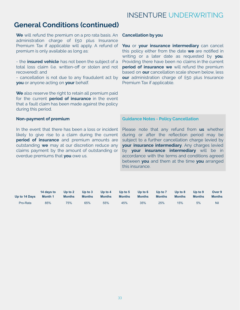### **General Conditions (continued)**

**We** will refund the premium on a pro rata basis. An administration charge of £50 plus Insurance Premium Tax if applicable will apply. A refund of premium is only available as long as:

- the **insured vehicle** has not been the subject of a total loss claim (i.e. written-off or stolen and not recovered); and

- cancellation is not due to any fraudulent act by **you** or anyone acting on **your** behalf.

**We** also reserve the right to retain all premium paid for the current **period of insurance** in the event that a fault claim has been made against the policy during this period.

#### **Non-payment of premium**

In the event that there has been a loss or incident likely to give rise to a claim during the current **period of insurance** and premium amounts are outstanding **we** may at our discretion reduce any claims payment by the amount of outstanding or overdue premiums that **you** owe us.

#### **Cancellation by you**

**You** or **your insurance intermediary** can cancel this policy either from the date **we** are notified in writing or a later date as requested by **you**. Providing there have been no claims in the current **period of insurance we** will refund the premium based on **our** cancellation scale shown below, less **our** administration charge of £50 plus Insurance Premium Tax if applicable.

#### **Guidance Notes - Policy Cancellation**

Please note that any refund from **us** whether during or after the reflection period may be subject to a further cancellation charge levied by **your insurance intermediary**. Any charges levied by **your insurance intermediary** will be in accordance with the terms and conditions agreed between **you** and them at the time **you** arranged this insurance.

| Up to 14 Days | 14 days to     | Up to $21$    | Up to $3$     | Up to $4$     | Up to $5$     | Up to $6$     | Up to 7       | Up to $8$     | Up to $9$     | Over 9        |
|---------------|----------------|---------------|---------------|---------------|---------------|---------------|---------------|---------------|---------------|---------------|
|               | <b>Month 1</b> | <b>Months</b> | <b>Months</b> | <b>Months</b> | <b>Months</b> | <b>Months</b> | <b>Months</b> | <b>Months</b> | <b>Months</b> | <b>Months</b> |
| Pro-Rata      | 85%            | 75%           | 65%           | 55%           | 45%           | 35%           | 25%           | 15%           | 5%            | Nil           |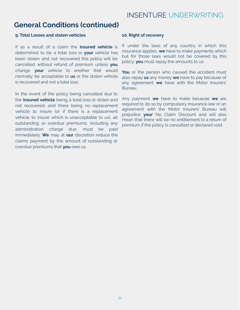### **General Conditions (continued)**

#### **9. Total Losses and stolen vehicles**

If as a result of a claim the **insured vehicle** is determined to be a total loss or **your** vehicle has been stolen and not recovered this policy will be cancelled without refund of premium unless **you** change **your** vehicle to another that would normally be acceptable to **us** or the stolen vehicle is recovered and not a total loss.

In the event of the policy being cancelled due to the **insured vehicle** being a total loss or stolen and not recovered, and there being no replacement vehicle to insure (or if there is a replacement vehicle to insure which is unacceptable to us), all outstanding or overdue premiums, including any administration charge due, must be paid immediately. **We** may at **our** discretion reduce the claims payment by the amount of outstanding or overdue premiums that **you** owe us.

#### **10. Right of recovery**

If under the laws of any country in which this insurance applies, **we** have to make payments which but for those laws would not be covered by this policy, **you** must repay the amounts to us.

You or the person who caused the accident must also repay **us** any money **we** have to pay because of any agreement **we** have with the Motor Insurers' Bureau.

Any payment **we** have to make because **we** are required to do so by compulsory insurance law or an agreement with the Motor Insurers' Bureau will prejudice **your** No Claim Discount and will also mean that there will be no entitlement to a return of premium if the policy is cancelled or declared void.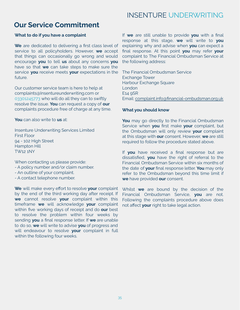### **Our Service Commitment**

### **What to do if you have a complaint**

**We** are dedicated to delivering a first class level of service to all policyholders. However, **we** accept that things can occasionally go wrong and would encourage **you** to tell **us** about any concerns **you** have so that **we** can take steps to make sure the service **you** receive meets **your** expectations in the future.

Our customer service team is here to help at c[omplaints@Insentureunderwriting.com](mailto:Complaints@Insentureunderwriting.com) or 03301245773 who will do all they can to swiftly resolve the issue. **You** can request a copy of **our** complaints procedure free of charge at any time.

**You** can also write to **us** at:

Insenture Underwriting Services Limited First Floor 94 - 102 High Street Hampton Hill TW12 1NY

When contacting us please provide:

- A policy number and/or claim number.
- An outline of your complaint.
- A contact telephone number.

**We** will make every effort to resolve **your** complaint by the end of the third working day after receipt. If **we** cannot resolve **your** complaint within this timeframe **we** will acknowledge **your** complaint within five working days of receipt and do **our** best to resolve the problem within four weeks by sending **you** a final response letter. If **we** are unable to do so, **we** will write to advise **you** of progress and will endeavour to resolve **your** complaint in full within the following four weeks.

If **we** are still unable to provide **you** with a final response at this stage, **we** will write to **you** explaining why and advise when **you** can expect a final response. At this point **you** may refer **your** complaint to The Financial Ombudsman Service at the following address:

The Financial Ombudsman Service Exchange Tower Harbour Exchange Square London E14 9SR Email: [complaint.info@financial-ombudsman.org.uk](mailto:complaint.info@financial-ombudsman.org.uk)

#### **What you should know**

**You** may go directly to the Financial Ombudsman Service when **you** first make **your** complaint, but the Ombudsman will only review **your** complaint at this stage with **our** consent. However, **we** are still required to follow the procedure stated above.

If **you** have received a final response but are dissatisfied, **you** have the right of referral to the Financial Ombudsman Service within six months of the date of **your** final response letter. **You** may only refer to the Ombudsman beyond this time limit if **we** have provided **our** consent.

Whilst **we** are bound by the decision of the Financial Ombudsman Service, **you** are not. Following the complaints procedure above does not affect **your** right to take legal action.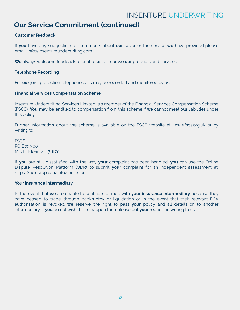### **Our Service Commitment (continued)**

### **Customer feedback**

If **you** have any suggestions or comments about **our** cover or the service **we** have provided please email: [Info@Insentureunderwriting.com](mailto:Info@Insentureunderwriting.com)

**We** always welcome feedback to enable **us** to improve **our** products and services.

### **Telephone Recording**

For **our** joint protection telephone calls may be recorded and monitored by us.

#### **Financial Services Compensation Scheme**

Insenture Underwriting Services Limited is a member of the Financial Services Compensation Scheme (FSCS). **You** may be entitled to compensation from this scheme if **we** cannot meet **our** liabilities under this policy.

Further information about the scheme is available on the FSCS website at: [www.fscs.org.uk](http://www.fscs.org.uk) or by writing to:

**FSCS** PO Box 300 Mitcheldean GL17 1DY

If **you** are still dissatisfied with the way **your** complaint has been handled, **you** can use the Online Dispute Resolution Platform (ODR) to submit **your** complaint for an independent assessment at: [https://ec.europa.eu/info/index\\_en](https://ec.europa.eu/info/index_en)

#### **Your insurance intermediary**

In the event that **we** are unable to continue to trade with **your insurance intermediary** because they have ceased to trade through bankruptcy or liquidation or in the event that their relevant FCA authorisation is revoked **we** reserve the right to pass **your** policy and all details on to another intermediary. If **you** do not wish this to happen then please put **your** request in writing to us.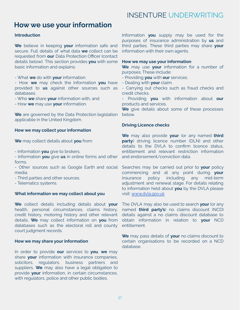### **How we use your information**

### **Introduction**

**We** believe in keeping **your** information safe and secure. Full details of what data **we** collect can be requested from **our** Data Protection Officer (contact details below). This section provides **you** with some basic information and explains:

- What **we** do with **your** information.

- How **we** may check the information **you** have provided to **us** against other sources such as databases.

- Who **we** share **your** information with, and
- How **we** may use **your** information.

**We** are governed by the Data Protection legislation applicable in the United Kingdom.

#### **How we may collect your information**

**We** may collect details about **you** from:

- Information **you** give to brokers.

- Information **you** give **us** in online forms and other forms.

- Other sources such as Google Earth and social media.

- Third parties and other sources.

- Telematics systems.

#### **What information we may collect about you**

**We** collect details including details about **your** health, personal circumstances, claims history, credit history, motoring history and other relevant details. **We** may collect information on **you** from databases such as the electoral roll and county court judgment records.

#### **How we may share your information**

In order to provide **our** services to **you**, **we** may share **your** information with insurance companies, solicitors, regulators, business partners and suppliers. **We** may also have a legal obligation to provide **your** information, in certain circumstances, with regulators, police and other public bodies.

Information **you** supply may be used for the purposes of insurance administration by **us** and third parties. These third parties may share **your** information with their own agents.

#### **How we may use your information**

**We** may use **your** information for a number of purposes. These include:

- Providing **you** with **our** services.
- Dealing with **your** claim.
- Carrying out checks such as fraud checks and credit checks.

- Providing **you** with information about **our** products and services.

**We** give details about some of these processes below.

#### **Driving Licence checks**

**We** may also provide **your** (or any named **third party**) driving licence number (DLN) and other details to the DVLA to confirm licence status, entitlement and relevant restriction information and endorsement/conviction data.

Searches may be carried out prior to **your** policy commencing and at any point during **your** insurance policy including any mid-term adjustment and renewal stage. For details relating to information held about **you** by the DVLA please visit: [www.dvla.gov.uk](http://www.dvla.gov.uk)

The DVLA may also be used to search **your** (or any named **third party's**) no claims discount (NCD) details against a no claims discount database to obtain information in relation to **your** NCD entitlement.

**We** may pass details of **your** no claims discount to certain organisations to be recorded on a NCD database.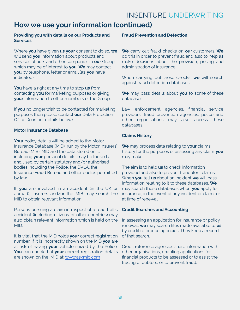# **How we use your information (continued)**

### **Providing you with details on our Products and Services**

Where **you** have given **us your** consent to do so, **we** will send **you** information about products and services of ours and other companies in **our** Group which may be of interest to **you**. **We** may contact **you** by telephone, letter or email (as **you** have indicated).

**You** have a right at any time to stop **us** from contacting **you** for marketing purposes or giving **your** information to other members of the Group.

If **you** no longer wish to be contacted for marketing purposes then please contact **our** Data Protection Officer (contact details below).

### **Motor Insurance Database**

Your policy details will be added to the Motor Insurance Database (MID), run by the Motor Insurers' Bureau (MIB). MID and the data stored on it, including **your** personal details, may be looked at and used by certain statutory and/or authorised bodies including the Police, the DVLA, the Insurance Fraud Bureau and other bodies permitted by law.

If **you** are involved in an accident (in the UK or abroad), insurers and/or the MIB may search the MID to obtain relevant information.

Persons pursuing a claim in respect of a road traffic accident (including citizens of other countries) may also obtain relevant information which is held on the MID.

It is vital that the MID holds **your** correct registration number. If it is incorrectly shown on the MID **you** are at risk of having **your** vehicle seized by the Police. **You** can check that **your** correct registration details are shown on the MID at: [www.askmid.com](http://www.askmid.com)

### **Fraud Prevention and Detection**

**We** carry out fraud checks on **ou**r customers. **We** do this in order to prevent fraud and also to help **us** make decisions about the provision, pricing and administration of insurance.

When carrying out these checks, **we** will search against fraud detection databases.

**We** may pass details about **you** to some of these databases.

Law enforcement agencies, financial service providers, fraud prevention agencies, police and other organisations may also access these databases.

### **Claims History**

**We** may process data relating to **your** claims history for the purposes of assessing any claim **you** may make.

The aim is to help **us** to check information provided and also to prevent fraudulent claims. When **you** tell **us** about an incident **we** will pass information relating to it to these databases. **We** may search these databases when **you** apply for insurance, in the event of any incident or claim, or at time of renewal.

### **Credit Searches and Accounting**

In assessing an application for insurance or policy renewal, **we** may search files made available to **us** by credit reference agencies. They keep a record of that search.

Credit reference agencies share information with other organisations, enabling applications for financial products to be assessed or to assist the tracing of debtors, or to prevent fraud.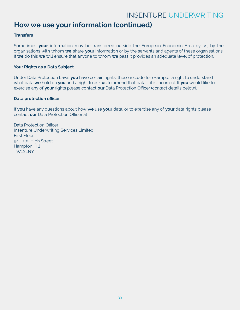### **How we use your information (continued)**

### **Transfers**

Sometimes **your** information may be transferred outside the European Economic Area by us, by the organisations with whom **we** share **your** information or by the servants and agents of these organisations. If **we** do this **we** will ensure that anyone to whom **we** pass it provides an adequate level of protection.

### **Your Rights as a Data Subject**

Under Data Protection Laws **you** have certain rights; these include for example, a right to understand what data **we** hold on **you** and a right to ask **us** to amend that data if it is incorrect. If **you** would like to exercise any of **your** rights please contact **our** Data Protection Officer (contact details below).

### **Data protection officer**

If **you** have any questions about how **we** use **your** data, or to exercise any of **your** data rights please contact **our** Data Protection Officer at

Data Protection Officer Insenture Underwriting Services Limited First Floor 94 - 102 High Street Hampton Hill TW12 1NY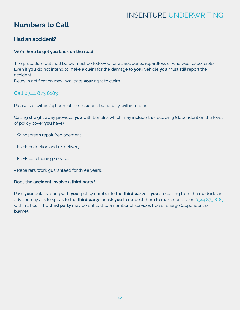# **Numbers to Call**

### **Had an accident?**

### **We're here to get you back on the road.**

The procedure outlined below must be followed for all accidents, regardless of who was responsible. Even if **you** do not intend to make a claim for the damage to **your** vehicle **you** must still report the accident.

Delay in notification may invalidate **your** right to claim.

### Call 0344 873 8183

Please call within 24 hours of the accident, but ideally within 1 hour.

Calling straight away provides **you** with benefits which may include the following (dependent on the level of policy cover **you** have):

- Windscreen repair/replacement.
- FREE collection and re-delivery.
- FREE car cleaning service.
- Repairers' work guaranteed for three years.

### **Does the accident involve a third party?**

Pass **your** details along with **your** policy number to the **third party**. If **you** are calling from the roadside an advisor may ask to speak to the **third party**, or ask **you** to request them to make contact on 0344 873 8183 within 1 hour. The **third party** may be entitled to a number of services free of charge (dependent on blame).